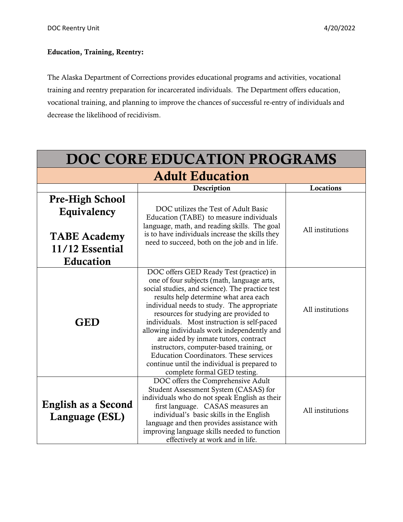## Education, Training, Reentry:

The Alaska Department of Corrections provides educational programs and activities, vocational training and reentry preparation for incarcerated individuals. The Department offers education, vocational training, and planning to improve the chances of successful re-entry of individuals and decrease the likelihood of recidivism.

| DOC CORE EDUCATION PROGRAMS                                                                  |                                                                                                                                                                                                                                                                                                                                                                                                                                                                                                                                                                                              |                  |
|----------------------------------------------------------------------------------------------|----------------------------------------------------------------------------------------------------------------------------------------------------------------------------------------------------------------------------------------------------------------------------------------------------------------------------------------------------------------------------------------------------------------------------------------------------------------------------------------------------------------------------------------------------------------------------------------------|------------------|
| <b>Adult Education</b>                                                                       |                                                                                                                                                                                                                                                                                                                                                                                                                                                                                                                                                                                              |                  |
|                                                                                              | Description                                                                                                                                                                                                                                                                                                                                                                                                                                                                                                                                                                                  | Locations        |
| <b>Pre-High School</b><br>Equivalency<br><b>TABE</b> Academy<br>11/12 Essential<br>Education | DOC utilizes the Test of Adult Basic<br>Education (TABE) to measure individuals<br>language, math, and reading skills. The goal<br>is to have individuals increase the skills they<br>need to succeed, both on the job and in life.                                                                                                                                                                                                                                                                                                                                                          | All institutions |
| <b>GED</b>                                                                                   | DOC offers GED Ready Test (practice) in<br>one of four subjects (math, language arts,<br>social studies, and science). The practice test<br>results help determine what area each<br>individual needs to study. The appropriate<br>resources for studying are provided to<br>individuals. Most instruction is self-paced<br>allowing individuals work independently and<br>are aided by inmate tutors, contract<br>instructors, computer-based training, or<br><b>Education Coordinators. These services</b><br>continue until the individual is prepared to<br>complete formal GED testing. | All institutions |
| English as a Second<br>Language (ESL)                                                        | DOC offers the Comprehensive Adult<br>Student Assessment System (CASAS) for<br>individuals who do not speak English as their<br>first language. CASAS measures an<br>individual's basic skills in the English<br>language and then provides assistance with<br>improving language skills needed to function<br>effectively at work and in life.                                                                                                                                                                                                                                              | All institutions |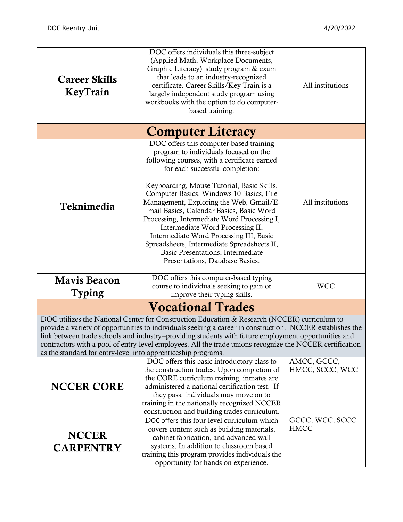| <b>Career Skills</b><br>KeyTrain                                                                                                                                                                                                                                                                                                                                                                                                                                                               | DOC offers individuals this three-subject<br>(Applied Math, Workplace Documents,<br>Graphic Literacy) study program & exam<br>that leads to an industry-recognized<br>certificate. Career Skills/Key Train is a<br>largely independent study program using<br>workbooks with the option to do computer-<br>based training.                                                                                                                                                                                                                                                                                | All institutions               |
|------------------------------------------------------------------------------------------------------------------------------------------------------------------------------------------------------------------------------------------------------------------------------------------------------------------------------------------------------------------------------------------------------------------------------------------------------------------------------------------------|-----------------------------------------------------------------------------------------------------------------------------------------------------------------------------------------------------------------------------------------------------------------------------------------------------------------------------------------------------------------------------------------------------------------------------------------------------------------------------------------------------------------------------------------------------------------------------------------------------------|--------------------------------|
|                                                                                                                                                                                                                                                                                                                                                                                                                                                                                                | <b>Computer Literacy</b>                                                                                                                                                                                                                                                                                                                                                                                                                                                                                                                                                                                  |                                |
| Teknimedia                                                                                                                                                                                                                                                                                                                                                                                                                                                                                     | DOC offers this computer-based training<br>program to individuals focused on the<br>following courses, with a certificate earned<br>for each successful completion:<br>Keyboarding, Mouse Tutorial, Basic Skills,<br>Computer Basics, Windows 10 Basics, File<br>Management, Exploring the Web, Gmail/E-<br>mail Basics, Calendar Basics, Basic Word<br>Processing, Intermediate Word Processing I,<br>Intermediate Word Processing II,<br>Intermediate Word Processing III, Basic<br>Spreadsheets, Intermediate Spreadsheets II,<br>Basic Presentations, Intermediate<br>Presentations, Database Basics. | All institutions               |
| <b>Mavis Beacon</b><br><b>Typing</b>                                                                                                                                                                                                                                                                                                                                                                                                                                                           | DOC offers this computer-based typing<br>course to individuals seeking to gain or<br>improve their typing skills.                                                                                                                                                                                                                                                                                                                                                                                                                                                                                         | <b>WCC</b>                     |
| <b>Vocational Trades</b>                                                                                                                                                                                                                                                                                                                                                                                                                                                                       |                                                                                                                                                                                                                                                                                                                                                                                                                                                                                                                                                                                                           |                                |
| DOC utilizes the National Center for Construction Education & Research (NCCER) curriculum to<br>provide a variety of opportunities to individuals seeking a career in construction. NCCER establishes the<br>link between trade schools and industry--providing students with future employment opportunities and<br>contractors with a pool of entry-level employees. All the trade unions recognize the NCCER certification<br>as the standard for entry-level into apprenticeship programs. |                                                                                                                                                                                                                                                                                                                                                                                                                                                                                                                                                                                                           |                                |
| <b>NCCER CORE</b>                                                                                                                                                                                                                                                                                                                                                                                                                                                                              | DOC offers this basic introductory class to<br>the construction trades. Upon completion of<br>the CORE curriculum training, inmates are<br>administered a national certification test. If<br>they pass, individuals may move on to<br>training in the nationally recognized NCCER<br>construction and building trades curriculum.                                                                                                                                                                                                                                                                         | AMCC, GCCC,<br>HMCC, SCCC, WCC |
| <b>NCCER</b><br><b>CARPENTRY</b>                                                                                                                                                                                                                                                                                                                                                                                                                                                               | DOC offers this four-level curriculum which<br>covers content such as building materials,<br>cabinet fabrication, and advanced wall<br>systems. In addition to classroom based<br>training this program provides individuals the<br>opportunity for hands on experience.                                                                                                                                                                                                                                                                                                                                  | GCCC, WCC, SCCC<br><b>HMCC</b> |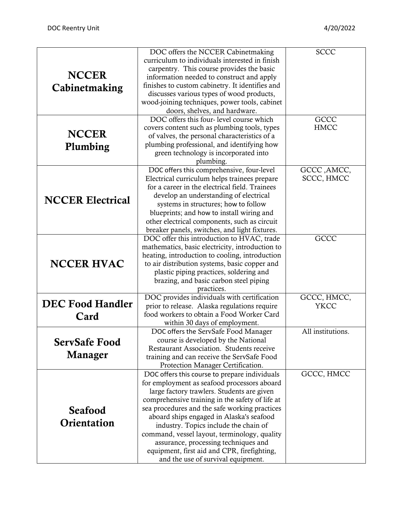|                         | DOC offers the NCCER Cabinetmaking              | <b>SCCC</b>       |
|-------------------------|-------------------------------------------------|-------------------|
|                         | curriculum to individuals interested in finish  |                   |
|                         | carpentry. This course provides the basic       |                   |
| <b>NCCER</b>            | information needed to construct and apply       |                   |
| Cabinetmaking           | finishes to custom cabinetry. It identifies and |                   |
|                         | discusses various types of wood products,       |                   |
|                         | wood-joining techniques, power tools, cabinet   |                   |
|                         | doors, shelves, and hardware.                   |                   |
|                         | DOC offers this four-level course which         | <b>GCCC</b>       |
|                         | covers content such as plumbing tools, types    | <b>HMCC</b>       |
| <b>NCCER</b>            | of valves, the personal characteristics of a    |                   |
|                         | plumbing professional, and identifying how      |                   |
| Plumbing                | green technology is incorporated into           |                   |
|                         | plumbing.                                       |                   |
|                         | DOC offers this comprehensive, four-level       | GCCC, AMCC,       |
|                         | Electrical curriculum helps trainees prepare    | SCCC, HMCC        |
|                         | for a career in the electrical field. Trainees  |                   |
|                         | develop an understanding of electrical          |                   |
| <b>NCCER Electrical</b> | systems in structures; how to follow            |                   |
|                         |                                                 |                   |
|                         | blueprints; and how to install wiring and       |                   |
|                         | other electrical components, such as circuit    |                   |
|                         | breaker panels, switches, and light fixtures.   |                   |
|                         | DOC offer this introduction to HVAC, trade      | <b>GCCC</b>       |
|                         | mathematics, basic electricity, introduction to |                   |
|                         | heating, introduction to cooling, introduction  |                   |
| <b>NCCER HVAC</b>       | to air distribution systems, basic copper and   |                   |
|                         | plastic piping practices, soldering and         |                   |
|                         | brazing, and basic carbon steel piping          |                   |
|                         | practices.                                      |                   |
| <b>DEC Food Handler</b> | DOC provides individuals with certification     | GCCC, HMCC,       |
|                         | prior to release. Alaska regulations require    | <b>YKCC</b>       |
| Card                    | food workers to obtain a Food Worker Card       |                   |
|                         | within 30 days of employment.                   |                   |
|                         | DOC offers the ServSafe Food Manager            | All institutions. |
| <b>ServSafe Food</b>    | course is developed by the National             |                   |
| Manager                 | Restaurant Association. Students receive        |                   |
|                         | training and can receive the ServSafe Food      |                   |
|                         | Protection Manager Certification.               |                   |
|                         | DOC offers this course to prepare individuals   | GCCC, HMCC        |
|                         | for employment as seafood processors aboard     |                   |
|                         | large factory trawlers. Students are given      |                   |
|                         | comprehensive training in the safety of life at |                   |
| <b>Seafood</b>          | sea procedures and the safe working practices   |                   |
|                         | aboard ships engaged in Alaska's seafood        |                   |
| Orientation             | industry. Topics include the chain of           |                   |
|                         | command, vessel layout, terminology, quality    |                   |
|                         | assurance, processing techniques and            |                   |
|                         | equipment, first aid and CPR, firefighting,     |                   |
|                         | and the use of survival equipment.              |                   |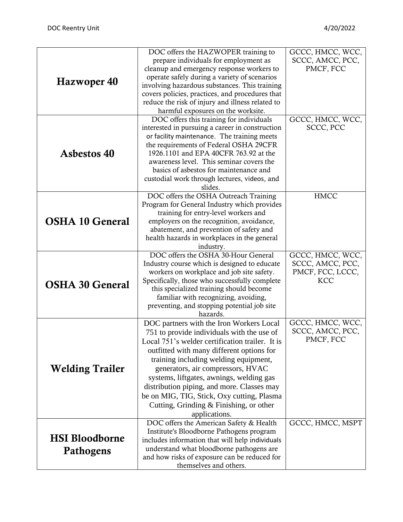|                        | DOC offers the HAZWOPER training to                     | GCCC, HMCC, WCC, |
|------------------------|---------------------------------------------------------|------------------|
|                        | prepare individuals for employment as                   | SCCC, AMCC, PCC, |
|                        | cleanup and emergency response workers to               | PMCF, FCC        |
| Hazwoper 40            | operate safely during a variety of scenarios            |                  |
|                        | involving hazardous substances. This training           |                  |
|                        | covers policies, practices, and procedures that         |                  |
|                        | reduce the risk of injury and illness related to        |                  |
|                        | harmful exposures on the worksite.                      |                  |
|                        | DOC offers this training for individuals                | GCCC, HMCC, WCC, |
|                        | interested in pursuing a career in construction         | SCCC, PCC        |
|                        | or facility maintenance. The training meets             |                  |
|                        | the requirements of Federal OSHA 29CFR                  |                  |
| <b>Asbestos 40</b>     | 1926.1101 and EPA 40CFR 763.92 at the                   |                  |
|                        | awareness level. This seminar covers the                |                  |
|                        | basics of asbestos for maintenance and                  |                  |
|                        | custodial work through lectures, videos, and<br>slides. |                  |
|                        | DOC offers the OSHA Outreach Training                   | <b>HMCC</b>      |
|                        | Program for General Industry which provides             |                  |
|                        | training for entry-level workers and                    |                  |
| <b>OSHA 10 General</b> | employers on the recognition, avoidance,                |                  |
|                        | abatement, and prevention of safety and                 |                  |
|                        | health hazards in workplaces in the general             |                  |
|                        | industry.                                               |                  |
|                        | DOC offers the OSHA 30-Hour General                     | GCCC, HMCC, WCC, |
|                        | Industry course which is designed to educate            | SCCC, AMCC, PCC, |
|                        | workers on workplace and job site safety.               | PMCF, FCC, LCCC, |
| <b>OSHA 30 General</b> | Specifically, those who successfully complete           | <b>KCC</b>       |
|                        | this specialized training should become                 |                  |
|                        | familiar with recognizing, avoiding,                    |                  |
|                        | preventing, and stopping potential job site             |                  |
|                        | hazards.                                                |                  |
|                        | DOC partners with the Iron Workers Local                | GCCC, HMCC, WCC, |
|                        | 751 to provide individuals with the use of              | SCCC, AMCC, PCC, |
|                        | Local 751's welder certification trailer. It is         | PMCF, FCC        |
|                        | outfitted with many different options for               |                  |
|                        | training including welding equipment,                   |                  |
| <b>Welding Trailer</b> | generators, air compressors, HVAC                       |                  |
|                        | systems, liftgates, awnings, welding gas                |                  |
|                        | distribution piping, and more. Classes may              |                  |
|                        | be on MIG, TIG, Stick, Oxy cutting, Plasma              |                  |
|                        | Cutting, Grinding & Finishing, or other                 |                  |
|                        | applications.                                           |                  |
|                        | DOC offers the American Safety & Health                 | GCCC, HMCC, MSPT |
|                        | Institute's Bloodborne Pathogens program                |                  |
| <b>HSI Bloodborne</b>  | includes information that will help individuals         |                  |
| Pathogens              | understand what bloodborne pathogens are                |                  |
|                        | and how risks of exposure can be reduced for            |                  |
|                        | themselves and others.                                  |                  |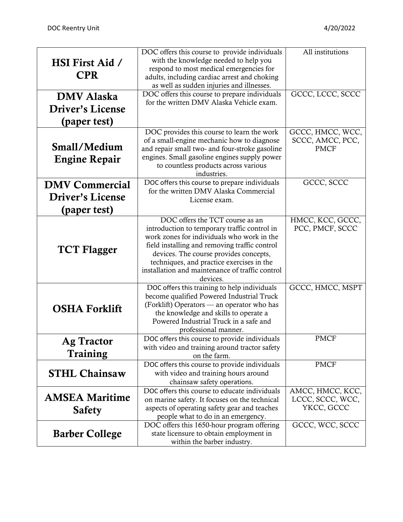|                        | DOC offers this course to provide individuals                                          | All institutions |
|------------------------|----------------------------------------------------------------------------------------|------------------|
| <b>HSI First Aid /</b> | with the knowledge needed to help you                                                  |                  |
|                        | respond to most medical emergencies for                                                |                  |
| <b>CPR</b>             | adults, including cardiac arrest and choking                                           |                  |
|                        | as well as sudden injuries and illnesses.                                              |                  |
| <b>DMV</b> Alaska      | DOC offers this course to prepare individuals                                          | GCCC, LCCC, SCCC |
| Driver's License       | for the written DMV Alaska Vehicle exam.                                               |                  |
| (paper test)           |                                                                                        |                  |
|                        | DOC provides this course to learn the work                                             | GCCC, HMCC, WCC, |
|                        | of a small-engine mechanic how to diagnose                                             | SCCC, AMCC, PCC, |
| Small/Medium           | and repair small two- and four-stroke gasoline                                         | <b>PMCF</b>      |
| <b>Engine Repair</b>   | engines. Small gasoline engines supply power                                           |                  |
|                        | to countless products across various                                                   |                  |
|                        | industries.                                                                            | GCCC, SCCC       |
| <b>DMV Commercial</b>  | DOC offers this course to prepare individuals<br>for the written DMV Alaska Commercial |                  |
| Driver's License       | License exam.                                                                          |                  |
| (paper test)           |                                                                                        |                  |
|                        | DOC offers the TCT course as an                                                        | HMCC, KCC, GCCC, |
|                        | introduction to temporary traffic control in                                           | PCC, PMCF, SCCC  |
| <b>TCT Flagger</b>     | work zones for individuals who work in the                                             |                  |
|                        | field installing and removing traffic control                                          |                  |
|                        | devices. The course provides concepts,                                                 |                  |
|                        | techniques, and practice exercises in the                                              |                  |
|                        | installation and maintenance of traffic control<br>devices.                            |                  |
|                        | DOC offers this training to help individuals                                           | GCCC, HMCC, MSPT |
|                        | become qualified Powered Industrial Truck                                              |                  |
| <b>OSHA Forklift</b>   | (Forklift) Operators — an operator who has                                             |                  |
|                        | the knowledge and skills to operate a                                                  |                  |
|                        | Powered Industrial Truck in a safe and                                                 |                  |
|                        | professional manner.                                                                   | <b>PMCF</b>      |
| <b>Ag Tractor</b>      | DOC offers this course to provide individuals                                          |                  |
| Training               | with video and training around tractor safety<br>on the farm.                          |                  |
|                        | DOC offers this course to provide individuals                                          | <b>PMCF</b>      |
| <b>STHL Chainsaw</b>   | with video and training hours around                                                   |                  |
|                        | chainsaw safety operations.                                                            |                  |
|                        | DOC offers this course to educate individuals                                          | AMCC, HMCC, KCC, |
| <b>AMSEA Maritime</b>  | on marine safety. It focuses on the technical                                          | LCCC, SCCC, WCC, |
| <b>Safety</b>          | aspects of operating safety gear and teaches                                           | YKCC, GCCC       |
|                        | people what to do in an emergency.                                                     |                  |
|                        | DOC offers this 1650-hour program offering                                             | GCCC, WCC, SCCC  |
| <b>Barber College</b>  | state licensure to obtain employment in<br>within the barber industry.                 |                  |
|                        |                                                                                        |                  |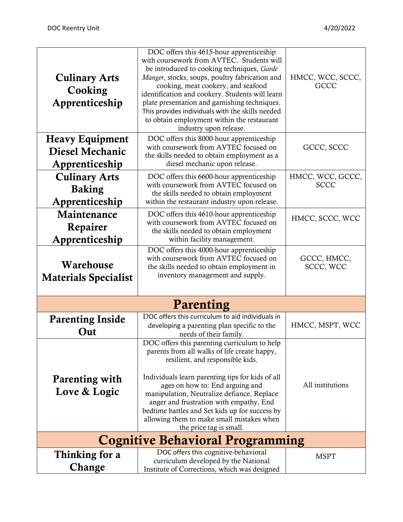| <b>Culinary Arts</b><br>Cooking<br>Apprenticeship                  | DOC offers this 4615-hour apprenticeship<br>with coursework from AVTEC. Students will<br>be introduced to cooking techniques, Garde<br>Manger, stocks, soups, poultry fabrication and<br>cooking, meat cookery, and seafood<br>identification and cookery. Students will learn<br>plate presentation and garnishing techniques.<br>This provides individuals with the skills needed<br>to obtain employment within the restaurant<br>industry upon release. | HMCC, WCC, SCCC,<br><b>GCCC</b> |
|--------------------------------------------------------------------|-------------------------------------------------------------------------------------------------------------------------------------------------------------------------------------------------------------------------------------------------------------------------------------------------------------------------------------------------------------------------------------------------------------------------------------------------------------|---------------------------------|
| <b>Heavy Equipment</b><br><b>Diesel Mechanic</b><br>Apprenticeship | DOC offers this 8000-hour apprenticeship<br>with coursework from AVTEC focused on<br>the skills needed to obtain employment as a<br>diesel mechanic upon release.                                                                                                                                                                                                                                                                                           | GCCC, SCCC                      |
| <b>Culinary Arts</b><br><b>Baking</b><br>Apprenticeship            | DOC offers this 6600-hour apprenticeship<br>with coursework from AVTEC focused on<br>the skills needed to obtain employment<br>within the restaurant industry upon release.                                                                                                                                                                                                                                                                                 | HMCC, WCC, GCCC,<br><b>SCCC</b> |
| Maintenance<br>Repairer<br>Apprenticeship                          | DOC offers this 4610-hour apprenticeship<br>with coursework from AVTEC focused on<br>the skills needed to obtain employment<br>within facility management.                                                                                                                                                                                                                                                                                                  | HMCC, SCCC, WCC                 |
| Warehouse<br><b>Materials Specialist</b>                           | DOC offers this 4000-hour apprenticeship<br>with coursework from AVTEC focused on<br>the skills needed to obtain employment in<br>inventory management and supply.                                                                                                                                                                                                                                                                                          | GCCC, HMCC,<br>SCCC, WCC        |
|                                                                    | Parenting                                                                                                                                                                                                                                                                                                                                                                                                                                                   |                                 |
| <b>Parenting Inside</b><br>Out                                     | DOC offers this curriculum to aid individuals in<br>developing a parenting plan specific to the<br>needs of their family.                                                                                                                                                                                                                                                                                                                                   | HMCC, MSPT, WCC                 |
| Parenting with<br>Love & Logic                                     | DOC offers this parenting curriculum to help<br>parents from all walks of life create happy,<br>resilient, and responsible kids.<br>Individuals learn parenting tips for kids of all<br>ages on how to: End arguing and<br>manipulation, Neutralize defiance, Replace<br>anger and frustration with empathy, End<br>bedtime battles and Set kids up for success by<br>allowing them to make small mistakes when<br>the price tag is small.                  | All institutions                |
| <b>Cognitive Behavioral Programming</b>                            |                                                                                                                                                                                                                                                                                                                                                                                                                                                             |                                 |
| Thinking for a<br>Change                                           | DOC offers this cognitive-behavioral<br>curriculum developed by the National<br>Institute of Corrections, which was designed                                                                                                                                                                                                                                                                                                                                | <b>MSPT</b>                     |